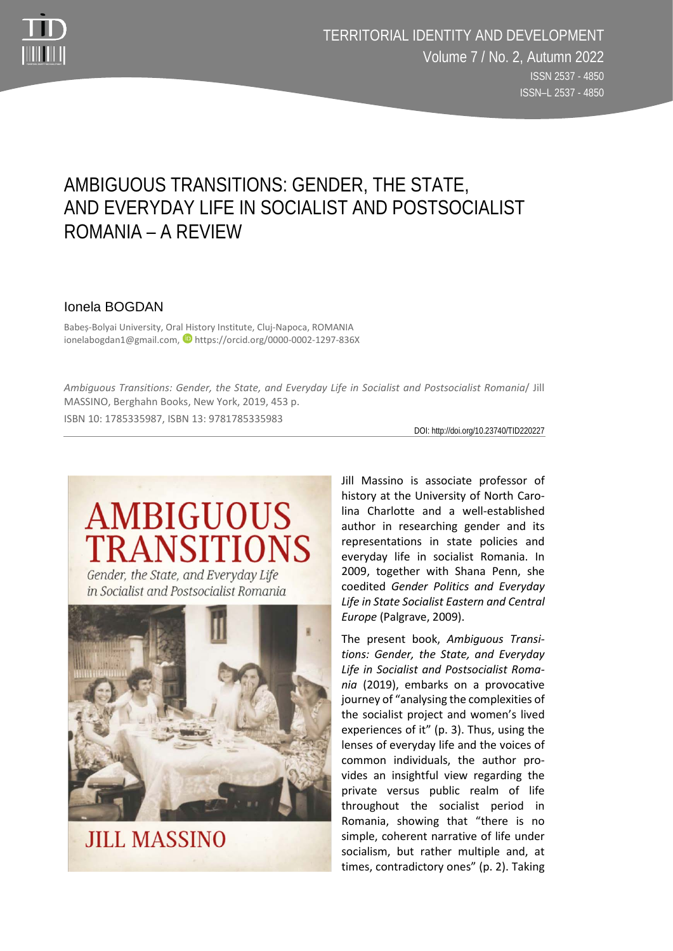

## AMBIGUOUS TRANSITIONS: GENDER, THE STATE, AND EVERYDAY LIFE IN SOCIALIST AND POSTSOCIALIST ROMANIA – A REVIEW

## Ionela BOGDAN

Babeș-Bolyai University, Oral History Institute, Cluj-Napoca, ROMANIA ionelabogdan1@gmail.com, https://orcid.org/0000-0002-1297-836X

*Ambiguous Transitions: Gender, the State, and Everyday Life in Socialist and Postsocialist Romania*/ Jill MASSINO, Berghahn Books, New York, 2019, 453 p. ISBN 10: 1785335987, ISBN 13: 9781785335983

DOI: http://doi.org/10.23740/TID220227

## **AMBIGUOUS TRANSITIONS**

Gender, the State, and Everyday Life in Socialist and Postsocialist Romania



**JILL MASSINO** 

Jill Massino is associate professor of history at the University of North Carolina Charlotte and a well-established author in researching gender and its representations in state policies and everyday life in socialist Romania. In 2009, together with Shana Penn, she coedited *Gender Politics and Everyday Life in State Socialist Eastern and Central Europe* (Palgrave, 2009).

The present book, *Ambiguous Transitions: Gender, the State, and Everyday Life in Socialist and Postsocialist Romania* (2019), embarks on a provocative journey of "analysing the complexities of the socialist project and women's lived experiences of it" (p. 3). Thus, using the lenses of everyday life and the voices of common individuals, the author provides an insightful view regarding the private versus public realm of life throughout the socialist period in Romania, showing that "there is no simple, coherent narrative of life under socialism, but rather multiple and, at times, contradictory ones" (p. 2). Taking